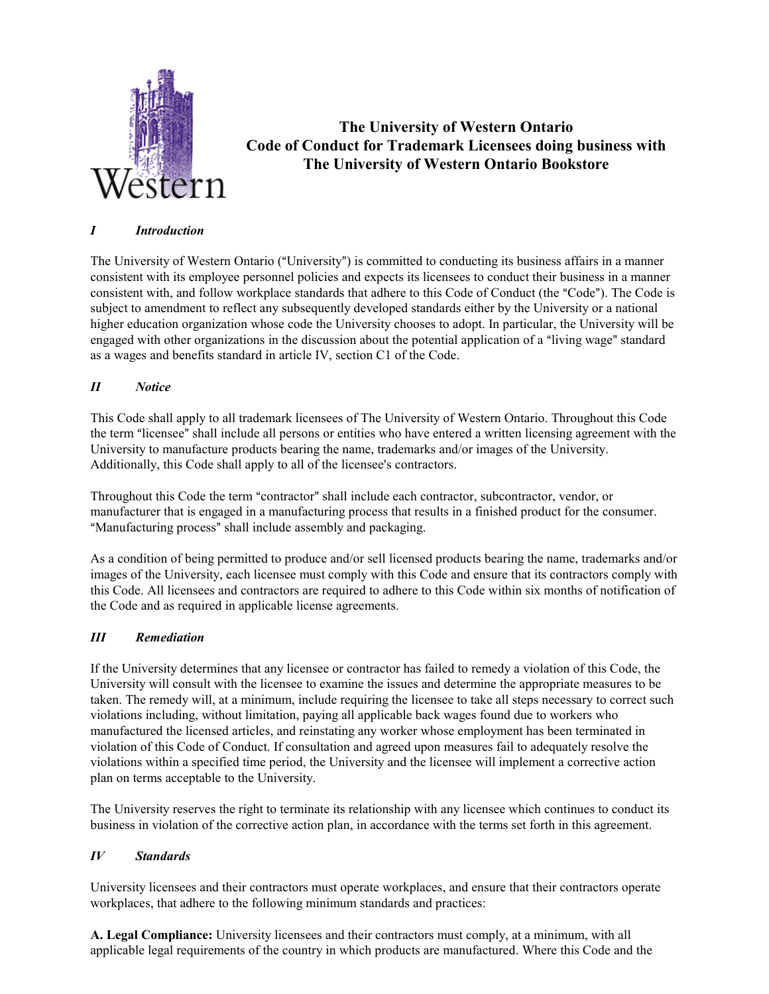

# **The University of Western Ontario Code of Conduct for Trademark Licensees doing business with The University of Western Ontario Bookstore**

# *I Introduction*

The University of Western Ontario ("University") is committed to conducting its business affairs in a manner consistent with its employee personnel policies and expects its licensees to conduct their business in a manner consistent with, and follow workplace standards that adhere to this Code of Conduct (the "Code"). The Code is subject to amendment to reflect any subsequently developed standards either by the University or a national higher education organization whose code the University chooses to adopt. In particular, the University will be engaged with other organizations in the discussion about the potential application of a "living wage" standard as a wages and benefits standard in article IV, section C1 of the Code.

# *II Notice*

This Code shall apply to all trademark licensees of The University of Western Ontario. Throughout this Code the term "licensee" shall include all persons or entities who have entered a written licensing agreement with the University to manufacture products bearing the name, trademarks and/or images of the University. Additionally, this Code shall apply to all of the licensee's contractors.

Throughout this Code the term "contractor" shall include each contractor, subcontractor, vendor, or manufacturer that is engaged in a manufacturing process that results in a finished product for the consumer. "Manufacturing process" shall include assembly and packaging.

As a condition of being permitted to produce and/or sell licensed products bearing the name, trademarks and/or images of the University, each licensee must comply with this Code and ensure that its contractors comply with this Code. All licensees and contractors are required to adhere to this Code within six months of notification of the Code and as required in applicable license agreements.

## *III Remediation*

If the University determines that any licensee or contractor has failed to remedy a violation of this Code, the University will consult with the licensee to examine the issues and determine the appropriate measures to be taken. The remedy will, at a minimum, include requiring the licensee to take all steps necessary to correct such violations including, without limitation, paying all applicable back wages found due to workers who manufactured the licensed articles, and reinstating any worker whose employment has been terminated in violation of this Code of Conduct. If consultation and agreed upon measures fail to adequately resolve the violations within a specified time period, the University and the licensee will implement a corrective action plan on terms acceptable to the University.

The University reserves the right to terminate its relationship with any licensee which continues to conduct its business in violation of the corrective action plan, in accordance with the terms set forth in this agreement.

# *IV Standards*

University licensees and their contractors must operate workplaces, and ensure that their contractors operate workplaces, that adhere to the following minimum standards and practices:

**A. Legal Compliance:** University licensees and their contractors must comply, at a minimum, with all applicable legal requirements of the country in which products are manufactured. Where this Code and the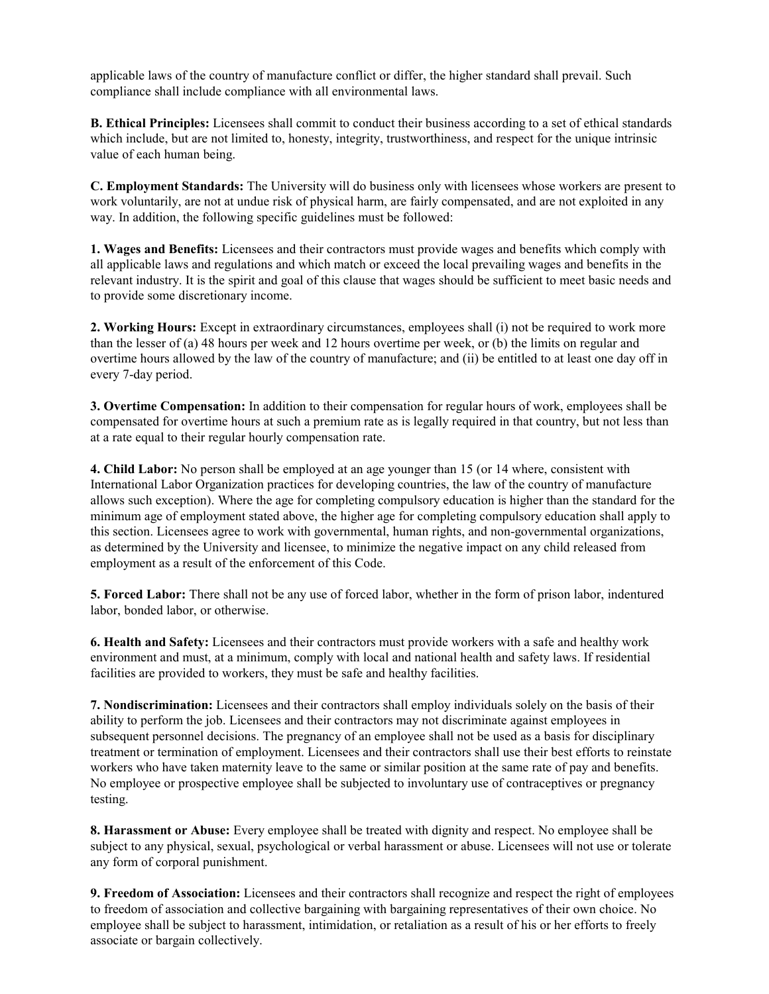applicable laws of the country of manufacture conflict or differ, the higher standard shall prevail. Such compliance shall include compliance with all environmental laws.

**B. Ethical Principles:** Licensees shall commit to conduct their business according to a set of ethical standards which include, but are not limited to, honesty, integrity, trustworthiness, and respect for the unique intrinsic value of each human being.

**C. Employment Standards:** The University will do business only with licensees whose workers are present to work voluntarily, are not at undue risk of physical harm, are fairly compensated, and are not exploited in any way. In addition, the following specific guidelines must be followed:

**1. Wages and Benefits:** Licensees and their contractors must provide wages and benefits which comply with all applicable laws and regulations and which match or exceed the local prevailing wages and benefits in the relevant industry. It is the spirit and goal of this clause that wages should be sufficient to meet basic needs and to provide some discretionary income.

**2. Working Hours:** Except in extraordinary circumstances, employees shall (i) not be required to work more than the lesser of (a) 48 hours per week and 12 hours overtime per week, or (b) the limits on regular and overtime hours allowed by the law of the country of manufacture; and (ii) be entitled to at least one day off in every 7-day period.

**3. Overtime Compensation:** In addition to their compensation for regular hours of work, employees shall be compensated for overtime hours at such a premium rate as is legally required in that country, but not less than at a rate equal to their regular hourly compensation rate.

**4. Child Labor:** No person shall be employed at an age younger than 15 (or 14 where, consistent with International Labor Organization practices for developing countries, the law of the country of manufacture allows such exception). Where the age for completing compulsory education is higher than the standard for the minimum age of employment stated above, the higher age for completing compulsory education shall apply to this section. Licensees agree to work with governmental, human rights, and non-governmental organizations, as determined by the University and licensee, to minimize the negative impact on any child released from employment as a result of the enforcement of this Code.

**5. Forced Labor:** There shall not be any use of forced labor, whether in the form of prison labor, indentured labor, bonded labor, or otherwise.

**6. Health and Safety:** Licensees and their contractors must provide workers with a safe and healthy work environment and must, at a minimum, comply with local and national health and safety laws. If residential facilities are provided to workers, they must be safe and healthy facilities.

**7. Nondiscrimination:** Licensees and their contractors shall employ individuals solely on the basis of their ability to perform the job. Licensees and their contractors may not discriminate against employees in subsequent personnel decisions. The pregnancy of an employee shall not be used as a basis for disciplinary treatment or termination of employment. Licensees and their contractors shall use their best efforts to reinstate workers who have taken maternity leave to the same or similar position at the same rate of pay and benefits. No employee or prospective employee shall be subjected to involuntary use of contraceptives or pregnancy testing.

**8. Harassment or Abuse:** Every employee shall be treated with dignity and respect. No employee shall be subject to any physical, sexual, psychological or verbal harassment or abuse. Licensees will not use or tolerate any form of corporal punishment.

**9. Freedom of Association:** Licensees and their contractors shall recognize and respect the right of employees to freedom of association and collective bargaining with bargaining representatives of their own choice. No employee shall be subject to harassment, intimidation, or retaliation as a result of his or her efforts to freely associate or bargain collectively.